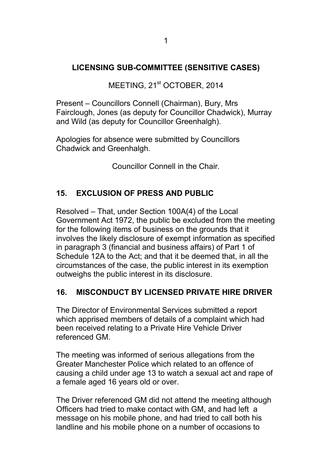## **LICENSING SUB-COMMITTEE (SENSITIVE CASES)**

MEETING, 21<sup>st</sup> OCTOBER, 2014

Present – Councillors Connell (Chairman), Bury, Mrs Fairclough, Jones (as deputy for Councillor Chadwick), Murray and Wild (as deputy for Councillor Greenhalgh).

Apologies for absence were submitted by Councillors Chadwick and Greenhalgh.

Councillor Connell in the Chair.

## **15. EXCLUSION OF PRESS AND PUBLIC**

Resolved – That, under Section 100A(4) of the Local Government Act 1972, the public be excluded from the meeting for the following items of business on the grounds that it involves the likely disclosure of exempt information as specified in paragraph 3 (financial and business affairs) of Part 1 of Schedule 12A to the Act; and that it be deemed that, in all the circumstances of the case, the public interest in its exemption outweighs the public interest in its disclosure.

## **16. MISCONDUCT BY LICENSED PRIVATE HIRE DRIVER**

The Director of Environmental Services submitted a report which apprised members of details of a complaint which had been received relating to a Private Hire Vehicle Driver referenced GM.

The meeting was informed of serious allegations from the Greater Manchester Police which related to an offence of causing a child under age 13 to watch a sexual act and rape of a female aged 16 years old or over.

The Driver referenced GM did not attend the meeting although Officers had tried to make contact with GM, and had left a message on his mobile phone, and had tried to call both his landline and his mobile phone on a number of occasions to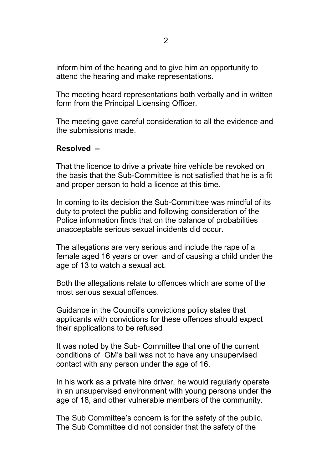inform him of the hearing and to give him an opportunity to attend the hearing and make representations.

The meeting heard representations both verbally and in written form from the Principal Licensing Officer.

The meeting gave careful consideration to all the evidence and the submissions made.

## **Resolved –**

That the licence to drive a private hire vehicle be revoked on the basis that the Sub-Committee is not satisfied that he is a fit and proper person to hold a licence at this time.

In coming to its decision the Sub-Committee was mindful of its duty to protect the public and following consideration of the Police information finds that on the balance of probabilities unacceptable serious sexual incidents did occur.

The allegations are very serious and include the rape of a female aged 16 years or over and of causing a child under the age of 13 to watch a sexual act.

Both the allegations relate to offences which are some of the most serious sexual offences.

Guidance in the Council's convictions policy states that applicants with convictions for these offences should expect their applications to be refused

It was noted by the Sub- Committee that one of the current conditions of GM's bail was not to have any unsupervised contact with any person under the age of 16.

In his work as a private hire driver, he would regularly operate in an unsupervised environment with young persons under the age of 18, and other vulnerable members of the community.

The Sub Committee's concern is for the safety of the public. The Sub Committee did not consider that the safety of the